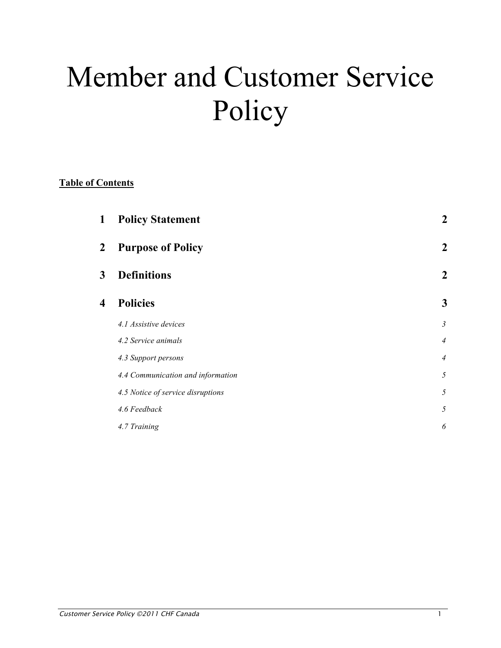# Member and Customer Service Policy

### **Table of Contents**

| <b>Purpose of Policy</b><br>$\boldsymbol{2}$<br><b>Definitions</b><br>3<br><b>Policies</b><br>$\overline{\mathbf{4}}$<br>4.1 Assistive devices<br>4.2 Service animals<br>4.3 Support persons<br>4.4 Communication and information<br>4.5 Notice of service disruptions | $\mathbf 2$      |
|------------------------------------------------------------------------------------------------------------------------------------------------------------------------------------------------------------------------------------------------------------------------|------------------|
|                                                                                                                                                                                                                                                                        | $\boldsymbol{2}$ |
|                                                                                                                                                                                                                                                                        | 2                |
|                                                                                                                                                                                                                                                                        | 3                |
|                                                                                                                                                                                                                                                                        | $\mathfrak{Z}$   |
|                                                                                                                                                                                                                                                                        | $\overline{4}$   |
|                                                                                                                                                                                                                                                                        | $\overline{4}$   |
|                                                                                                                                                                                                                                                                        | 5                |
|                                                                                                                                                                                                                                                                        | 5                |
| 4.6 Feedback                                                                                                                                                                                                                                                           | 5                |
| 4.7 Training                                                                                                                                                                                                                                                           | 6                |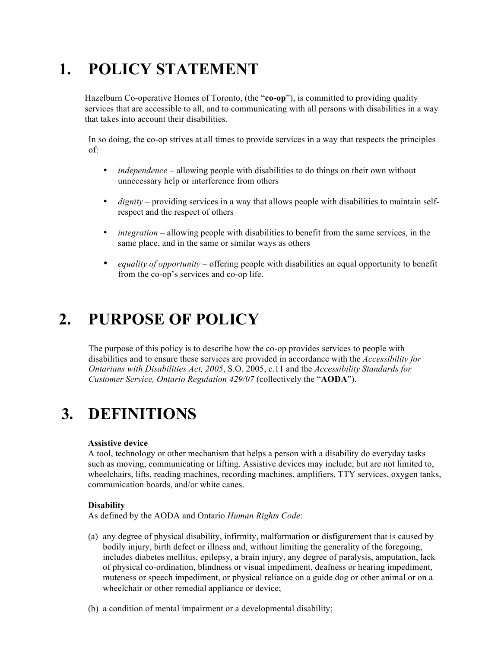# **1. POLICY STATEMENT**

Hazelburn Co-operative Homes of Toronto, (the "**co-op**"), is committed to providing quality services that are accessible to all, and to communicating with all persons with disabilities in a way that takes into account their disabilities.

In so doing, the co-op strives at all times to provide services in a way that respects the principles of:

- *independence* allowing people with disabilities to do things on their own without unnecessary help or interference from others
- *dignity* providing services in a way that allows people with disabilities to maintain selfrespect and the respect of others
- *integration* allowing people with disabilities to benefit from the same services, in the same place, and in the same or similar ways as others
- *equality of opportunity* offering people with disabilities an equal opportunity to benefit from the co-op's services and co-op life.

## **2. PURPOSE OF POLICY**

The purpose of this policy is to describe how the co-op provides services to people with disabilities and to ensure these services are provided in accordance with the *Accessibility for Ontarians with Disabilities Act, 2005*, S.O. 2005, c.11 and the *Accessibility Standards for Customer Service, Ontario Regulation 429/07* (collectively the "**AODA**").

# **3. DEFINITIONS**

### **Assistive device**

A tool, technology or other mechanism that helps a person with a disability do everyday tasks such as moving, communicating or lifting. Assistive devices may include, but are not limited to, wheelchairs, lifts, reading machines, recording machines, amplifiers, TTY services, oxygen tanks, communication boards, and/or white canes.

### **Disability**

As defined by the AODA and Ontario *Human Rights Code*:

- (a) any degree of physical disability, infirmity, malformation or disfigurement that is caused by bodily injury, birth defect or illness and, without limiting the generality of the foregoing, includes diabetes mellitus, epilepsy, a brain injury, any degree of paralysis, amputation, lack of physical co-ordination, blindness or visual impediment, deafness or hearing impediment, muteness or speech impediment, or physical reliance on a guide dog or other animal or on a wheelchair or other remedial appliance or device;
- (b) a condition of mental impairment or a developmental disability;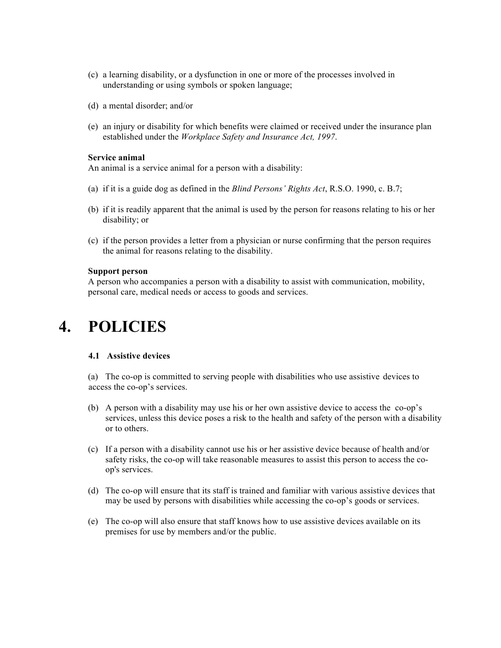- (c) a learning disability, or a dysfunction in one or more of the processes involved in understanding or using symbols or spoken language;
- (d) a mental disorder; and/or
- (e) an injury or disability for which benefits were claimed or received under the insurance plan established under the *Workplace Safety and Insurance Act, 1997*.

### **Service animal**

An animal is a service animal for a person with a disability:

- (a) if it is a guide dog as defined in the *Blind Persons' Rights Act*, R.S.O. 1990, c. B.7;
- (b) if it is readily apparent that the animal is used by the person for reasons relating to his or her disability; or
- (c) if the person provides a letter from a physician or nurse confirming that the person requires the animal for reasons relating to the disability.

### **Support person**

A person who accompanies a person with a disability to assist with communication, mobility, personal care, medical needs or access to goods and services.

### **4. POLICIES**

#### **4.1 Assistive devices**

(a) The co-op is committed to serving people with disabilities who use assistive devices to access the co-op's services.

- (b) A person with a disability may use his or her own assistive device to access the co-op's services, unless this device poses a risk to the health and safety of the person with a disability or to others.
- (c) If a person with a disability cannot use his or her assistive device because of health and/or safety risks, the co-op will take reasonable measures to assist this person to access the coop's services.
- (d) The co-op will ensure that its staff is trained and familiar with various assistive devices that may be used by persons with disabilities while accessing the co-op's goods or services.
- (e) The co-op will also ensure that staff knows how to use assistive devices available on its premises for use by members and/or the public.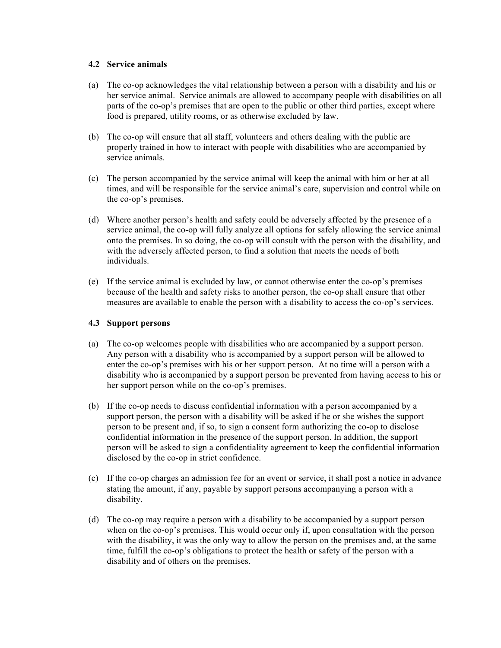### **4.2 Service animals**

- (a) The co-op acknowledges the vital relationship between a person with a disability and his or her service animal. Service animals are allowed to accompany people with disabilities on all parts of the co-op's premises that are open to the public or other third parties, except where food is prepared, utility rooms, or as otherwise excluded by law.
- (b) The co-op will ensure that all staff, volunteers and others dealing with the public are properly trained in how to interact with people with disabilities who are accompanied by service animals.
- (c) The person accompanied by the service animal will keep the animal with him or her at all times, and will be responsible for the service animal's care, supervision and control while on the co-op's premises.
- (d) Where another person's health and safety could be adversely affected by the presence of a service animal, the co-op will fully analyze all options for safely allowing the service animal onto the premises. In so doing, the co-op will consult with the person with the disability, and with the adversely affected person, to find a solution that meets the needs of both individuals.
- (e) If the service animal is excluded by law, or cannot otherwise enter the co-op's premises because of the health and safety risks to another person, the co-op shall ensure that other measures are available to enable the person with a disability to access the co-op's services.

### **4.3 Support persons**

- (a) The co-op welcomes people with disabilities who are accompanied by a support person. Any person with a disability who is accompanied by a support person will be allowed to enter the co-op's premises with his or her support person. At no time will a person with a disability who is accompanied by a support person be prevented from having access to his or her support person while on the co-op's premises.
- (b) If the co-op needs to discuss confidential information with a person accompanied by a support person, the person with a disability will be asked if he or she wishes the support person to be present and, if so, to sign a consent form authorizing the co-op to disclose confidential information in the presence of the support person. In addition, the support person will be asked to sign a confidentiality agreement to keep the confidential information disclosed by the co-op in strict confidence.
- (c) If the co-op charges an admission fee for an event or service, it shall post a notice in advance stating the amount, if any, payable by support persons accompanying a person with a disability.
- (d) The co-op may require a person with a disability to be accompanied by a support person when on the co-op's premises. This would occur only if, upon consultation with the person with the disability, it was the only way to allow the person on the premises and, at the same time, fulfill the co-op's obligations to protect the health or safety of the person with a disability and of others on the premises.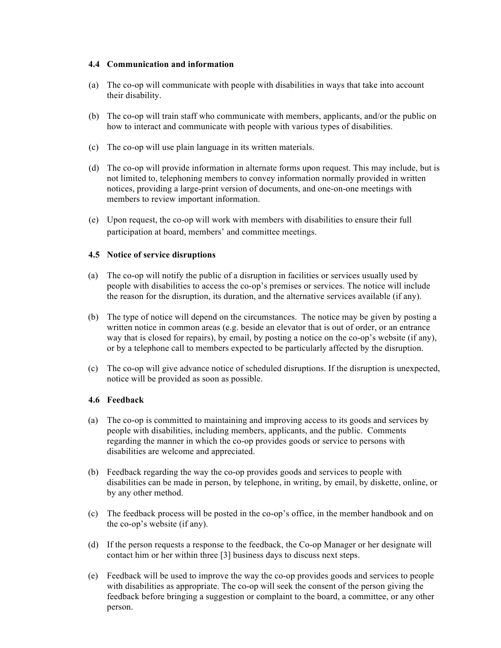### **4.4 Communication and information**

- (a) The co-op will communicate with people with disabilities in ways that take into account their disability.
- (b) The co-op will train staff who communicate with members, applicants, and/or the public on how to interact and communicate with people with various types of disabilities.
- (c) The co-op will use plain language in its written materials.
- (d) The co-op will provide information in alternate forms upon request. This may include, but is not limited to, telephoning members to convey information normally provided in written notices, providing a large-print version of documents, and one-on-one meetings with members to review important information.
- (e) Upon request, the co-op will work with members with disabilities to ensure their full participation at board, members' and committee meetings.

### **4.5 Notice of service disruptions**

- (a) The co-op will notify the public of a disruption in facilities or services usually used by people with disabilities to access the co-op's premises or services. The notice will include the reason for the disruption, its duration, and the alternative services available (if any).
- (b) The type of notice will depend on the circumstances. The notice may be given by posting a written notice in common areas (e.g. beside an elevator that is out of order, or an entrance way that is closed for repairs), by email, by posting a notice on the co-op's website (if any), or by a telephone call to members expected to be particularly affected by the disruption.
- (c) The co-op will give advance notice of scheduled disruptions. If the disruption is unexpected, notice will be provided as soon as possible.

### **4.6 Feedback**

- (a) The co-op is committed to maintaining and improving access to its goods and services by people with disabilities, including members, applicants, and the public. Comments regarding the manner in which the co-op provides goods or service to persons with disabilities are welcome and appreciated.
- (b) Feedback regarding the way the co-op provides goods and services to people with disabilities can be made in person, by telephone, in writing, by email, by diskette, online, or by any other method.
- (c) The feedback process will be posted in the co-op's office, in the member handbook and on the co-op's website (if any).
- (d) If the person requests a response to the feedback, the Co-op Manager or her designate will contact him or her within three [3] business days to discuss next steps.
- (e) Feedback will be used to improve the way the co-op provides goods and services to people with disabilities as appropriate. The co-op will seek the consent of the person giving the feedback before bringing a suggestion or complaint to the board, a committee, or any other person.